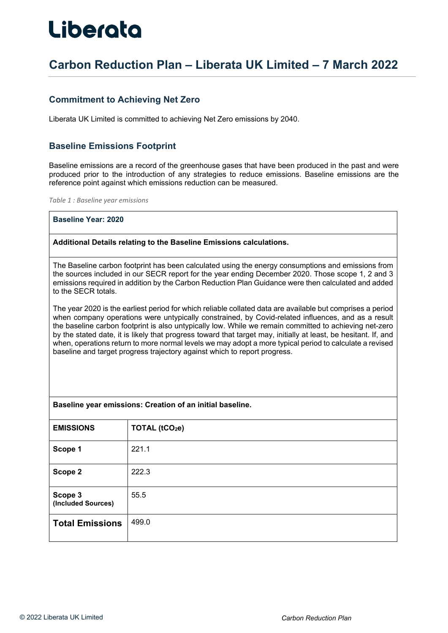# Liberata

# **Carbon Reduction Plan – Liberata UK Limited – 7 March 2022**

#### **Commitment to Achieving Net Zero**

Liberata UK Limited is committed to achieving Net Zero emissions by 2040.

#### **Baseline Emissions Footprint**

Baseline emissions are a record of the greenhouse gases that have been produced in the past and were produced prior to the introduction of any strategies to reduce emissions. Baseline emissions are the reference point against which emissions reduction can be measured.

*Table 1 : Baseline year emissions*

#### **Baseline Year: 2020**

**Additional Details relating to the Baseline Emissions calculations.** 

The Baseline carbon footprint has been calculated using the energy consumptions and emissions from the sources included in our SECR report for the year ending December 2020. Those scope 1, 2 and 3 emissions required in addition by the Carbon Reduction Plan Guidance were then calculated and added to the SECR totals.

The year 2020 is the earliest period for which reliable collated data are available but comprises a period when company operations were untypically constrained, by Covid-related influences, and as a result the baseline carbon footprint is also untypically low. While we remain committed to achieving net-zero by the stated date, it is likely that progress toward that target may, initially at least, be hesitant. If, and when, operations return to more normal levels we may adopt a more typical period to calculate a revised baseline and target progress trajectory against which to report progress.

| <b>EMISSIONS</b>              | TOTAL (tCO <sub>2</sub> e) |
|-------------------------------|----------------------------|
| Scope 1                       | 221.1                      |
| Scope 2                       | 222.3                      |
| Scope 3<br>(Included Sources) | 55.5                       |
| <b>Total Emissions</b>        | 499.0                      |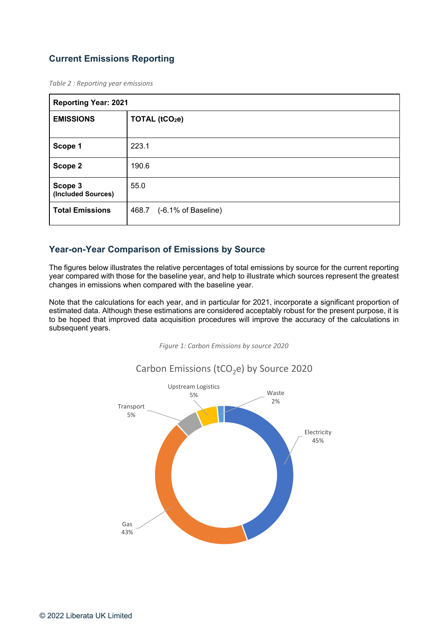## **Current Emissions Reporting**

*Table 2 : Reporting year emissions*

| <b>Reporting Year: 2021</b>   |                              |
|-------------------------------|------------------------------|
| <b>EMISSIONS</b>              | TOTAL (tCO <sub>2</sub> e)   |
|                               |                              |
| Scope 1                       | 223.1                        |
| Scope 2                       | 190.6                        |
| Scope 3<br>(Included Sources) | 55.0                         |
| <b>Total Emissions</b>        | (-6.1% of Baseline)<br>468.7 |

#### **Year-on-Year Comparison of Emissions by Source**

The figures below illustrates the relative percentages of total emissions by source for the current reporting year compared with those for the baseline year, and help to illustrate which sources represent the greatest changes in emissions when compared with the baseline year.

Note that the calculations for each year, and in particular for 2021, incorporate a significant proportion of estimated data. Although these estimations are considered acceptably robust for the present purpose, it is to be hoped that improved data acquisition procedures will improve the accuracy of the calculations in subsequent years.



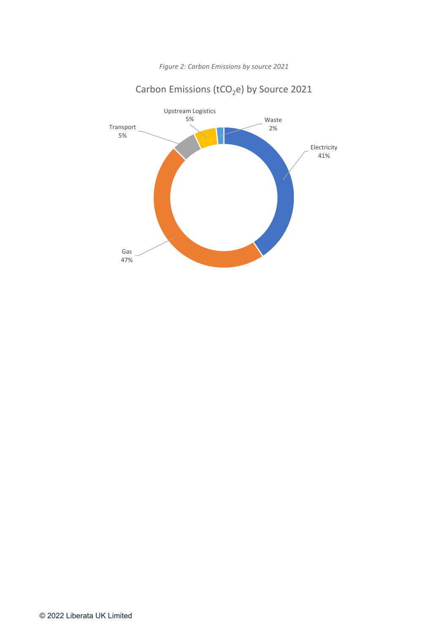*Figure 2: Carbon Emissions by source 2021*



Carbon Emissions ( $tCO<sub>2</sub>e$ ) by Source 2021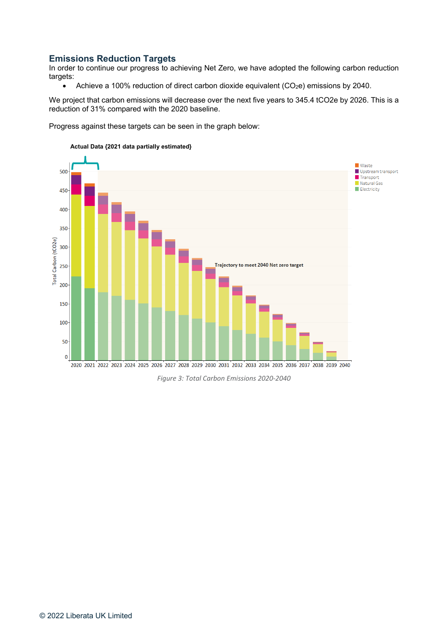#### **Emissions Reduction Targets**

In order to continue our progress to achieving Net Zero, we have adopted the following carbon reduction targets:

• Achieve a 100% reduction of direct carbon dioxide equivalent (CO<sub>2</sub>e) emissions by 2040.

We project that carbon emissions will decrease over the next five years to 345.4 tCO2e by 2026. This is a reduction of 31% compared with the 2020 baseline.

Progress against these targets can be seen in the graph below:

**Actual Data {2021 data partially estimated}**



*Figure 3: Total Carbon Emissions 2020-2040*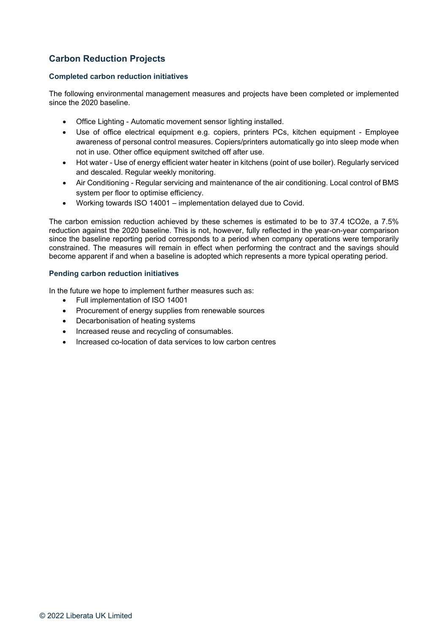## **Carbon Reduction Projects**

#### **Completed carbon reduction initiatives**

The following environmental management measures and projects have been completed or implemented since the 2020 baseline.

- Office Lighting Automatic movement sensor lighting installed.
- Use of office electrical equipment e.g. copiers, printers PCs, kitchen equipment Employee awareness of personal control measures. Copiers/printers automatically go into sleep mode when not in use. Other office equipment switched off after use.
- Hot water Use of energy efficient water heater in kitchens (point of use boiler). Regularly serviced and descaled. Regular weekly monitoring.
- Air Conditioning Regular servicing and maintenance of the air conditioning. Local control of BMS system per floor to optimise efficiency.
- Working towards ISO 14001 implementation delayed due to Covid.

The carbon emission reduction achieved by these schemes is estimated to be to 37.4 tCO2e, a 7.5% reduction against the 2020 baseline. This is not, however, fully reflected in the year-on-year comparison since the baseline reporting period corresponds to a period when company operations were temporarily constrained. The measures will remain in effect when performing the contract and the savings should become apparent if and when a baseline is adopted which represents a more typical operating period.

#### **Pending carbon reduction initiatives**

In the future we hope to implement further measures such as:

- Full implementation of ISO 14001
- Procurement of energy supplies from renewable sources
- Decarbonisation of heating systems
- Increased reuse and recycling of consumables.
- Increased co-location of data services to low carbon centres